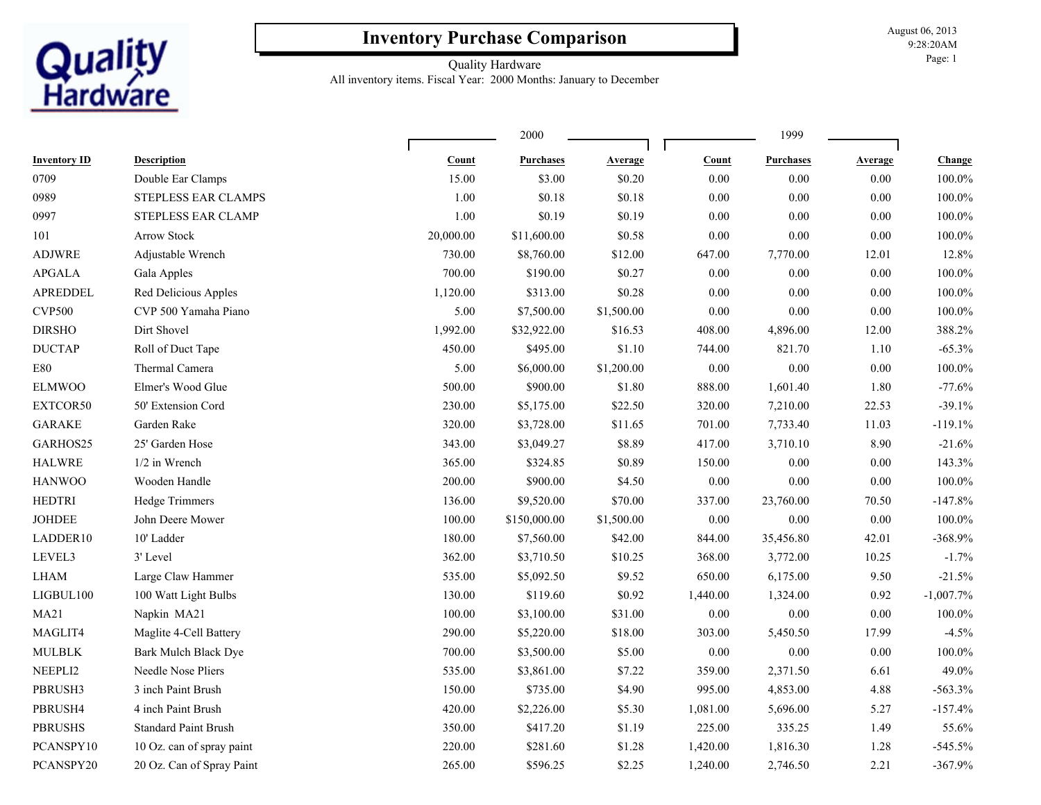## **Inventory Purchase Comparison**

August 06, 2013 9:28:20AM Page: 1

## Quality Hardware

**Quality**<br>Hardware

All inventory items. Fiscal Year: 2000 Months: January to December

| <b>Inventory ID</b> | <b>Description</b>          |           |                  |            | 1999     |                  |          |              |
|---------------------|-----------------------------|-----------|------------------|------------|----------|------------------|----------|--------------|
|                     |                             | Count     | <b>Purchases</b> | Average    | Count    | <b>Purchases</b> | Average  | Change       |
| 0709                | Double Ear Clamps           | 15.00     | \$3.00           | \$0.20     | 0.00     | 0.00             | $0.00\,$ | 100.0%       |
| 0989                | STEPLESS EAR CLAMPS         | 1.00      | \$0.18           | \$0.18     | 0.00     | 0.00             | $0.00\,$ | 100.0%       |
| 0997                | STEPLESS EAR CLAMP          | 1.00      | \$0.19           | \$0.19     | $0.00\,$ | 0.00             | $0.00\,$ | 100.0%       |
| 101                 | <b>Arrow Stock</b>          | 20,000.00 | \$11,600.00      | \$0.58     | $0.00\,$ | $0.00\,$         | 0.00     | 100.0%       |
| <b>ADJWRE</b>       | Adjustable Wrench           | 730.00    | \$8,760.00       | \$12.00    | 647.00   | 7,770.00         | 12.01    | 12.8%        |
| <b>APGALA</b>       | Gala Apples                 | 700.00    | \$190.00         | \$0.27     | $0.00\,$ | 0.00             | $0.00\,$ | 100.0%       |
| APREDDEL            | Red Delicious Apples        | 1,120.00  | \$313.00         | \$0.28     | $0.00\,$ | 0.00             | $0.00\,$ | 100.0%       |
| <b>CVP500</b>       | CVP 500 Yamaha Piano        | 5.00      | \$7,500.00       | \$1,500.00 | $0.00\,$ | 0.00             | $0.00\,$ | 100.0%       |
| <b>DIRSHO</b>       | Dirt Shovel                 | 1,992.00  | \$32,922.00      | \$16.53    | 408.00   | 4,896.00         | 12.00    | 388.2%       |
| <b>DUCTAP</b>       | Roll of Duct Tape           | 450.00    | \$495.00         | \$1.10     | 744.00   | 821.70           | 1.10     | $-65.3%$     |
| E80                 | Thermal Camera              | 5.00      | \$6,000.00       | \$1,200.00 | $0.00\,$ | $0.00\,$         | $0.00\,$ | 100.0%       |
| <b>ELMWOO</b>       | Elmer's Wood Glue           | 500.00    | \$900.00         | \$1.80     | 888.00   | 1,601.40         | 1.80     | $-77.6%$     |
| EXTCOR50            | 50' Extension Cord          | 230.00    | \$5,175.00       | \$22.50    | 320.00   | 7,210.00         | 22.53    | $-39.1%$     |
| <b>GARAKE</b>       | Garden Rake                 | 320.00    | \$3,728.00       | \$11.65    | 701.00   | 7,733.40         | 11.03    | $-119.1%$    |
| GARHOS25            | 25' Garden Hose             | 343.00    | \$3,049.27       | \$8.89     | 417.00   | 3,710.10         | 8.90     | $-21.6%$     |
| <b>HALWRE</b>       | 1/2 in Wrench               | 365.00    | \$324.85         | \$0.89     | 150.00   | 0.00             | $0.00\,$ | 143.3%       |
| <b>HANWOO</b>       | Wooden Handle               | 200.00    | \$900.00         | \$4.50     | $0.00\,$ | 0.00             | $0.00\,$ | 100.0%       |
| <b>HEDTRI</b>       | Hedge Trimmers              | 136.00    | \$9,520.00       | \$70.00    | 337.00   | 23,760.00        | 70.50    | $-147.8%$    |
| JOHDEE              | John Deere Mower            | 100.00    | \$150,000.00     | \$1,500.00 | $0.00\,$ | 0.00             | $0.00\,$ | 100.0%       |
| LADDER10            | 10' Ladder                  | 180.00    | \$7,560.00       | \$42.00    | 844.00   | 35,456.80        | 42.01    | $-368.9%$    |
| LEVEL3              | 3' Level                    | 362.00    | \$3,710.50       | \$10.25    | 368.00   | 3,772.00         | 10.25    | $-1.7%$      |
| <b>LHAM</b>         | Large Claw Hammer           | 535.00    | \$5,092.50       | \$9.52     | 650.00   | 6,175.00         | 9.50     | $-21.5%$     |
| LIGBUL100           | 100 Watt Light Bulbs        | 130.00    | \$119.60         | \$0.92     | 1,440.00 | 1,324.00         | 0.92     | $-1,007.7\%$ |
| MA21                | Napkin MA21                 | 100.00    | \$3,100.00       | \$31.00    | 0.00     | 0.00             | $0.00\,$ | 100.0%       |
| MAGLIT4             | Maglite 4-Cell Battery      | 290.00    | \$5,220.00       | \$18.00    | 303.00   | 5,450.50         | 17.99    | $-4.5%$      |
| <b>MULBLK</b>       | Bark Mulch Black Dye        | 700.00    | \$3,500.00       | \$5.00     | $0.00\,$ | $0.00\,$         | $0.00\,$ | $100.0\%$    |
| NEEPLI2             | Needle Nose Pliers          | 535.00    | \$3,861.00       | \$7.22     | 359.00   | 2,371.50         | 6.61     | 49.0%        |
| PBRUSH3             | 3 inch Paint Brush          | 150.00    | \$735.00         | \$4.90     | 995.00   | 4,853.00         | 4.88     | $-563.3%$    |
| PBRUSH4             | 4 inch Paint Brush          | 420.00    | \$2,226.00       | \$5.30     | 1,081.00 | 5,696.00         | 5.27     | $-157.4%$    |
| <b>PBRUSHS</b>      | <b>Standard Paint Brush</b> | 350.00    | \$417.20         | \$1.19     | 225.00   | 335.25           | 1.49     | 55.6%        |
| PCANSPY10           | 10 Oz. can of spray paint   | 220.00    | \$281.60         | \$1.28     | 1,420.00 | 1,816.30         | 1.28     | $-545.5%$    |
| PCANSPY20           | 20 Oz. Can of Spray Paint   | 265.00    | \$596.25         | \$2.25     | 1,240.00 | 2,746.50         | 2.21     | $-367.9%$    |